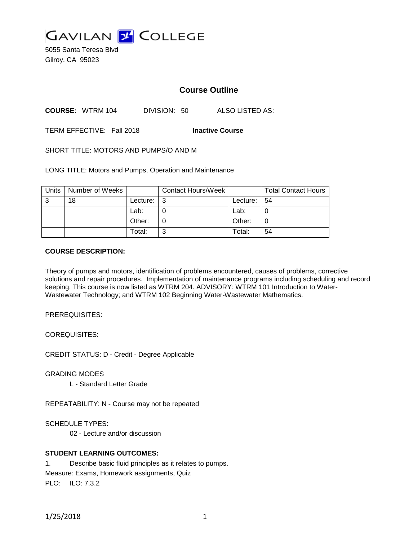

5055 Santa Teresa Blvd Gilroy, CA 95023

# **Course Outline**

**COURSE:** WTRM 104 DIVISION: 50 ALSO LISTED AS:

TERM EFFECTIVE: Fall 2018 **Inactive Course**

SHORT TITLE: MOTORS AND PUMPS/O AND M

LONG TITLE: Motors and Pumps, Operation and Maintenance

| Units | Number of Weeks |          | <b>Contact Hours/Week</b> |          | <b>Total Contact Hours</b> |
|-------|-----------------|----------|---------------------------|----------|----------------------------|
| 3     | 18              | Lecture: | -3                        | Lecture: | l 54                       |
|       |                 | Lab:     |                           | Lab:     | U                          |
|       |                 | Other:   |                           | Other:   | 0                          |
|       |                 | Total:   | ົ                         | Total:   | 54                         |

#### **COURSE DESCRIPTION:**

Theory of pumps and motors, identification of problems encountered, causes of problems, corrective solutions and repair procedures. Implementation of maintenance programs including scheduling and record keeping. This course is now listed as WTRM 204. ADVISORY: WTRM 101 Introduction to Water-Wastewater Technology; and WTRM 102 Beginning Water-Wastewater Mathematics.

PREREQUISITES:

COREQUISITES:

CREDIT STATUS: D - Credit - Degree Applicable

GRADING MODES

L - Standard Letter Grade

REPEATABILITY: N - Course may not be repeated

SCHEDULE TYPES:

02 - Lecture and/or discussion

### **STUDENT LEARNING OUTCOMES:**

1. Describe basic fluid principles as it relates to pumps. Measure: Exams, Homework assignments, Quiz PLO: ILO: 7.3.2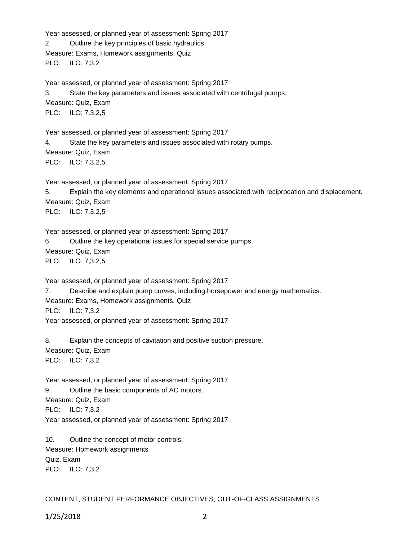Year assessed, or planned year of assessment: Spring 2017 2. Outline the key principles of basic hydraulics. Measure: Exams, Homework assignments, Quiz PLO: ILO: 7,3,2

Year assessed, or planned year of assessment: Spring 2017 3. State the key parameters and issues associated with centrifugal pumps. Measure: Quiz, Exam PLO: ILO: 7,3,2,5

Year assessed, or planned year of assessment: Spring 2017 4. State the key parameters and issues associated with rotary pumps.

Measure: Quiz, Exam PLO: ILO: 7,3,2,5

Year assessed, or planned year of assessment: Spring 2017

5. Explain the key elements and operational issues associated with reciprocation and displacement. Measure: Quiz, Exam PLO: ILO: 7,3,2,5

Year assessed, or planned year of assessment: Spring 2017 6. Outline the key operational issues for special service pumps. Measure: Quiz, Exam PLO: ILO: 7,3,2,5

Year assessed, or planned year of assessment: Spring 2017

7. Describe and explain pump curves, including horsepower and energy mathematics.

Measure: Exams, Homework assignments, Quiz

PLO: ILO: 7,3,2

Year assessed, or planned year of assessment: Spring 2017

8. Explain the concepts of cavitation and positive suction pressure. Measure: Quiz, Exam PLO: ILO: 7,3,2

Year assessed, or planned year of assessment: Spring 2017 9. Outline the basic components of AC motors. Measure: Quiz, Exam PLO: ILO: 7,3,2 Year assessed, or planned year of assessment: Spring 2017

10. Outline the concept of motor controls. Measure: Homework assignments Quiz, Exam PLO: ILO: 7,3,2

CONTENT, STUDENT PERFORMANCE OBJECTIVES, OUT-OF-CLASS ASSIGNMENTS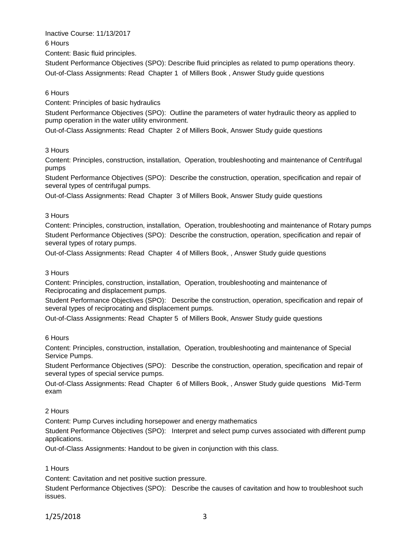Inactive Course: 11/13/2017

6 Hours

Content: Basic fluid principles.

Student Performance Objectives (SPO): Describe fluid principles as related to pump operations theory. Out-of-Class Assignments: Read Chapter 1 of Millers Book , Answer Study guide questions

## 6 Hours

Content: Principles of basic hydraulics

Student Performance Objectives (SPO): Outline the parameters of water hydraulic theory as applied to pump operation in the water utility environment.

Out-of-Class Assignments: Read Chapter 2 of Millers Book, Answer Study guide questions

# 3 Hours

Content: Principles, construction, installation, Operation, troubleshooting and maintenance of Centrifugal pumps

Student Performance Objectives (SPO): Describe the construction, operation, specification and repair of several types of centrifugal pumps.

Out-of-Class Assignments: Read Chapter 3 of Millers Book, Answer Study guide questions

### 3 Hours

Content: Principles, construction, installation, Operation, troubleshooting and maintenance of Rotary pumps Student Performance Objectives (SPO): Describe the construction, operation, specification and repair of several types of rotary pumps.

Out-of-Class Assignments: Read Chapter 4 of Millers Book, , Answer Study guide questions

## 3 Hours

Content: Principles, construction, installation, Operation, troubleshooting and maintenance of Reciprocating and displacement pumps.

Student Performance Objectives (SPO): Describe the construction, operation, specification and repair of several types of reciprocating and displacement pumps.

Out-of-Class Assignments: Read Chapter 5 of Millers Book, Answer Study guide questions

# 6 Hours

Content: Principles, construction, installation, Operation, troubleshooting and maintenance of Special Service Pumps.

Student Performance Objectives (SPO): Describe the construction, operation, specification and repair of several types of special service pumps.

Out-of-Class Assignments: Read Chapter 6 of Millers Book, , Answer Study guide questions Mid-Term exam

# 2 Hours

Content: Pump Curves including horsepower and energy mathematics

Student Performance Objectives (SPO): Interpret and select pump curves associated with different pump applications.

Out-of-Class Assignments: Handout to be given in conjunction with this class.

# 1 Hours

Content: Cavitation and net positive suction pressure.

Student Performance Objectives (SPO): Describe the causes of cavitation and how to troubleshoot such issues.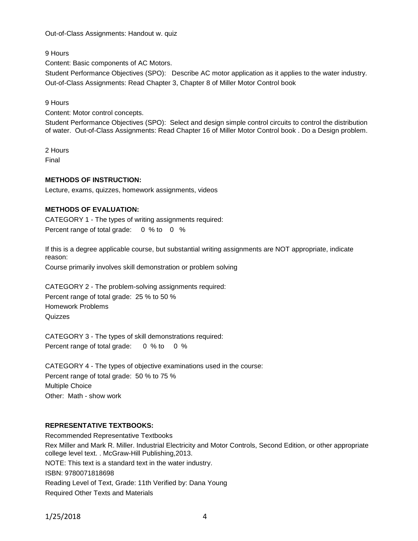Out-of-Class Assignments: Handout w. quiz

9 Hours

Content: Basic components of AC Motors.

Student Performance Objectives (SPO): Describe AC motor application as it applies to the water industry. Out-of-Class Assignments: Read Chapter 3, Chapter 8 of Miller Motor Control book

9 Hours

Content: Motor control concepts.

Student Performance Objectives (SPO): Select and design simple control circuits to control the distribution of water. Out-of-Class Assignments: Read Chapter 16 of Miller Motor Control book . Do a Design problem.

2 Hours Final

### **METHODS OF INSTRUCTION:**

Lecture, exams, quizzes, homework assignments, videos

#### **METHODS OF EVALUATION:**

CATEGORY 1 - The types of writing assignments required: Percent range of total grade: 0 % to 0 %

If this is a degree applicable course, but substantial writing assignments are NOT appropriate, indicate reason:

Course primarily involves skill demonstration or problem solving

CATEGORY 2 - The problem-solving assignments required: Percent range of total grade: 25 % to 50 % Homework Problems **Quizzes** 

CATEGORY 3 - The types of skill demonstrations required: Percent range of total grade: 0 % to 0 %

CATEGORY 4 - The types of objective examinations used in the course: Percent range of total grade: 50 % to 75 % Multiple Choice Other: Math - show work

### **REPRESENTATIVE TEXTBOOKS:**

Recommended Representative Textbooks Rex Miller and Mark R. Miller. Industrial Electricity and Motor Controls, Second Edition, or other appropriate college level text. . McGraw-Hill Publishing,2013. NOTE: This text is a standard text in the water industry. ISBN: 9780071818698 Reading Level of Text, Grade: 11th Verified by: Dana Young Required Other Texts and Materials